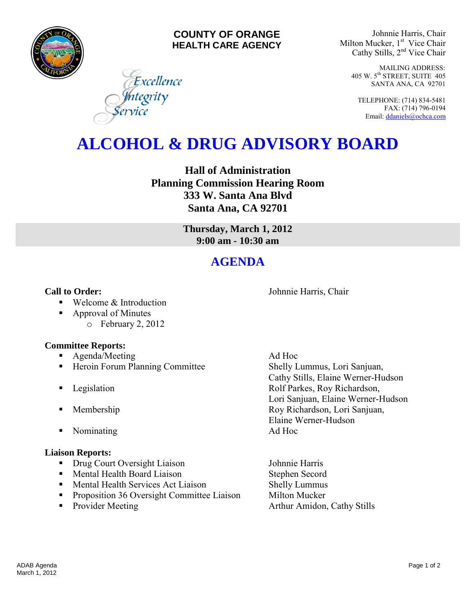

#### **COUNTY OF ORANGE HEALTH CARE AGENCY**

Excellence

<mark>I</mark>ntegrity<br>ervice

Johnnie Harris, Chair Milton Mucker, 1<sup>st</sup> Vice Chair Cathy Stills, 2nd Vice Chair

> MAILING ADDRESS: 405 W. 5th STREET, SUITE 405 SANTA ANA, CA 92701

TELEPHONE: (714) 834-5481 FAX: (714) 796-0194 Email[: ddaniels@ochca.com](mailto:ddaniels@ochca.com)

# **ALCOHOL & DRUG ADVISORY BOARD**

**Hall of Administration Planning Commission Hearing Room 333 W. Santa Ana Blvd Santa Ana, CA 92701** 

> **Thursday, March 1, 2012 9:00 am - 10:30 am**

## **AGENDA**

#### **Call to Order: Call to Order: Johnnie Harris, Chair**

■ Welcome & Introduction

- Approval of Minutes
	- o February 2, 2012

### **Committee Reports:**

- **Agenda/Meeting Ad Hoc**
- **Heroin Forum Planning Committee Shelly Lummus, Lori Sanjuan,**
- 
- 
- Nominating Ad Hoc

#### **Liaison Reports:**

- Drug Court Oversight Liaison Johnnie Harris
- **Mental Health Board Liaison** Stephen Secord
- Mental Health Services Act Liaison Shelly Lummus
- **•** Proposition 36 Oversight Committee Liaison Milton Mucker
- 

 Cathy Stills, Elaine Werner-Hudson **Example 3** Legislation **Rolf Parkes, Roy Richardson,** Lori Sanjuan, Elaine Werner-Hudson **Membership Roy Richardson, Lori Sanjuan,** Elaine Werner-Hudson

• Provider Meeting **Arthur Amidon, Cathy Stills**